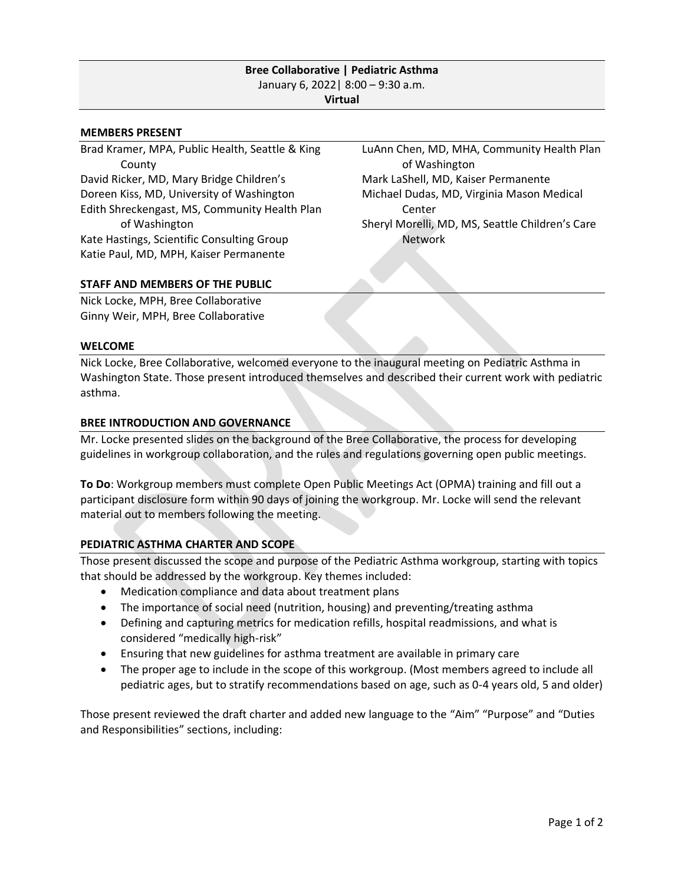# **Bree Collaborative | Pediatric Asthma** January 6, 2022| 8:00 – 9:30 a.m. **Virtual**

### **MEMBERS PRESENT**

Brad Kramer, MPA, Public Health, Seattle & King County David Ricker, MD, Mary Bridge Children's Doreen Kiss, MD, University of Washington Edith Shreckengast, MS, Community Health Plan of Washington Kate Hastings, Scientific Consulting Group Katie Paul, MD, MPH, Kaiser Permanente

LuAnn Chen, MD, MHA, Community Health Plan of Washington Mark LaShell, MD, Kaiser Permanente Michael Dudas, MD, Virginia Mason Medical Center Sheryl Morelli, MD, MS, Seattle Children's Care Network

## **STAFF AND MEMBERS OF THE PUBLIC**

Nick Locke, MPH, Bree Collaborative Ginny Weir, MPH, Bree Collaborative

#### **WELCOME**

Nick Locke, Bree Collaborative, welcomed everyone to the inaugural meeting on Pediatric Asthma in Washington State. Those present introduced themselves and described their current work with pediatric asthma.

### **BREE INTRODUCTION AND GOVERNANCE**

Mr. Locke presented slides on the background of the Bree Collaborative, the process for developing guidelines in workgroup collaboration, and the rules and regulations governing open public meetings.

**To Do**: Workgroup members must complete Open Public Meetings Act (OPMA) training and fill out a participant disclosure form within 90 days of joining the workgroup. Mr. Locke will send the relevant material out to members following the meeting.

## **PEDIATRIC ASTHMA CHARTER AND SCOPE**

Those present discussed the scope and purpose of the Pediatric Asthma workgroup, starting with topics that should be addressed by the workgroup. Key themes included:

- Medication compliance and data about treatment plans
- The importance of social need (nutrition, housing) and preventing/treating asthma
- Defining and capturing metrics for medication refills, hospital readmissions, and what is considered "medically high-risk"
- Ensuring that new guidelines for asthma treatment are available in primary care
- The proper age to include in the scope of this workgroup. (Most members agreed to include all pediatric ages, but to stratify recommendations based on age, such as 0-4 years old, 5 and older)

Those present reviewed the draft charter and added new language to the "Aim" "Purpose" and "Duties and Responsibilities" sections, including: